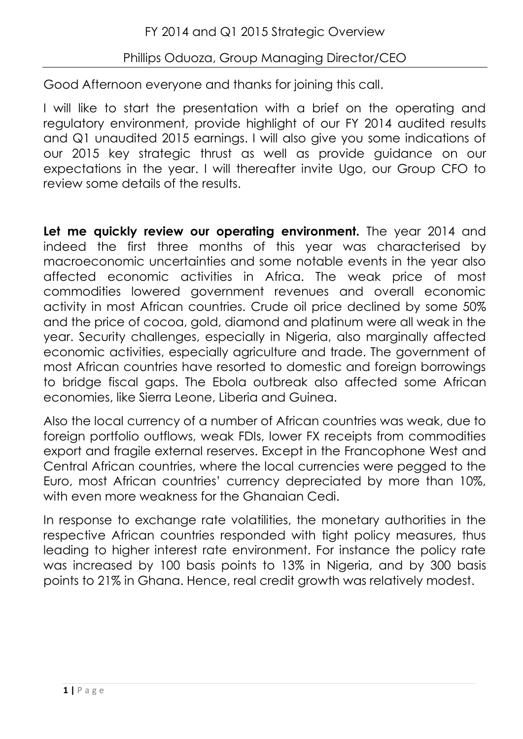## Phillips Oduoza, Group Managing Director/CEO

Good Afternoon everyone and thanks for joining this call.

I will like to start the presentation with a brief on the operating and regulatory environment, provide highlight of our FY 2014 audited results and Q1 unaudited 2015 earnings. I will also give you some indications of our 2015 key strategic thrust as well as provide guidance on our expectations in the year. I will thereafter invite Ugo, our Group CFO to review some details of the results.

**Let me quickly review our operating environment.** The year 2014 and indeed the first three months of this year was characterised by macroeconomic uncertainties and some notable events in the year also affected economic activities in Africa. The weak price of most commodities lowered government revenues and overall economic activity in most African countries. Crude oil price declined by some 50% and the price of cocoa, gold, diamond and platinum were all weak in the year. Security challenges, especially in Nigeria, also marginally affected economic activities, especially agriculture and trade. The government of most African countries have resorted to domestic and foreign borrowings to bridge fiscal gaps. The Ebola outbreak also affected some African economies, like Sierra Leone, Liberia and Guinea.

Also the local currency of a number of African countries was weak, due to foreign portfolio outflows, weak FDIs, lower FX receipts from commodities export and fragile external reserves. Except in the Francophone West and Central African countries, where the local currencies were pegged to the Euro, most African countries' currency depreciated by more than 10%, with even more weakness for the Ghanaian Cedi.

In response to exchange rate volatilities, the monetary authorities in the respective African countries responded with tight policy measures, thus leading to higher interest rate environment. For instance the policy rate was increased by 100 basis points to 13% in Nigeria, and by 300 basis points to 21% in Ghana. Hence, real credit growth was relatively modest.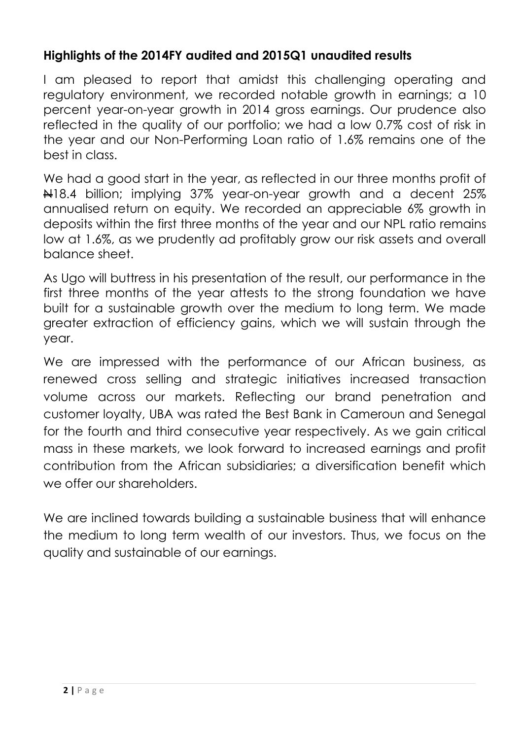## **Highlights of the 2014FY audited and 2015Q1 unaudited results**

I am pleased to report that amidst this challenging operating and regulatory environment, we recorded notable growth in earnings; a 10 percent year-on-year growth in 2014 gross earnings. Our prudence also reflected in the quality of our portfolio; we had a low 0.7% cost of risk in the year and our Non-Performing Loan ratio of 1.6% remains one of the best in class.

We had a good start in the year, as reflected in our three months profit of N18.4 billion; implying 37% year-on-year growth and a decent 25% annualised return on equity. We recorded an appreciable 6% growth in deposits within the first three months of the year and our NPL ratio remains low at 1.6%, as we prudently ad profitably grow our risk assets and overall balance sheet.

As Ugo will buttress in his presentation of the result, our performance in the first three months of the year attests to the strong foundation we have built for a sustainable growth over the medium to long term. We made greater extraction of efficiency gains, which we will sustain through the year.

We are impressed with the performance of our African business, as renewed cross selling and strategic initiatives increased transaction volume across our markets. Reflecting our brand penetration and customer loyalty, UBA was rated the Best Bank in Cameroun and Senegal for the fourth and third consecutive year respectively. As we gain critical mass in these markets, we look forward to increased earnings and profit contribution from the African subsidiaries; a diversification benefit which we offer our shareholders.

We are inclined towards building a sustainable business that will enhance the medium to long term wealth of our investors. Thus, we focus on the quality and sustainable of our earnings.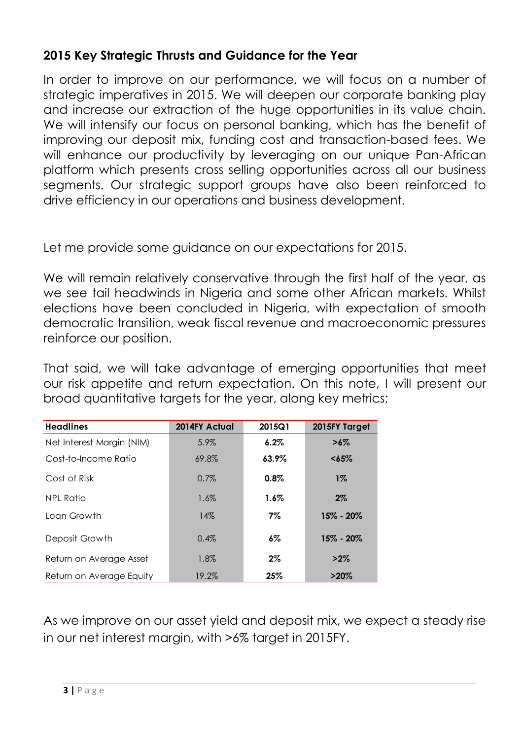## **2015 Key Strategic Thrusts and Guidance for the Year**

In order to improve on our performance, we will focus on a number of strategic imperatives in 2015. We will deepen our corporate banking play and increase our extraction of the huge opportunities in its value chain. We will intensify our focus on personal banking, which has the benefit of improving our deposit mix, funding cost and transaction-based fees. We will enhance our productivity by leveraging on our unique Pan-African platform which presents cross selling opportunities across all our business segments. Our strategic support groups have also been reinforced to drive efficiency in our operations and business development.

Let me provide some quidance on our expectations for 2015.

We will remain relatively conservative through the first half of the year, as we see tail headwinds in Nigeria and some other African markets. Whilst elections have been concluded in Nigeria, with expectation of smooth democratic transition, weak fiscal revenue and macroeconomic pressures reinforce our position.

That said, we will take advantage of emerging opportunities that meet our risk appetite and return expectation. On this note, I will present our broad quantitative targets for the year, along key metrics;

| <b>Headlines</b>          | 2014FY Actual | 2015Q1  | 2015FY Target |
|---------------------------|---------------|---------|---------------|
| Net Interest Margin (NIM) | 5.9%          | $6.2\%$ | $>6\%$        |
| Cost-to-Income Ratio      | 69.8%         | 63.9%   | $65%$         |
| Cost of Risk              | 0.7%          | 0.8%    | $1\%$         |
| NPL Ratio                 | 1.6%          | $1.6\%$ | $2\%$         |
| Loan Growth               | 14%           | $7\%$   | $15\% - 20\%$ |
| Deposit Growth            | 0.4%          | $6\%$   | $15\% - 20\%$ |
| Return on Average Asset   | 1.8%          | $2\%$   | $>2\%$        |
| Return on Average Equity  | 19.2%         | 25%     | $>20\%$       |

As we improve on our asset yield and deposit mix, we expect a steady rise in our net interest margin, with >6% target in 2015FY.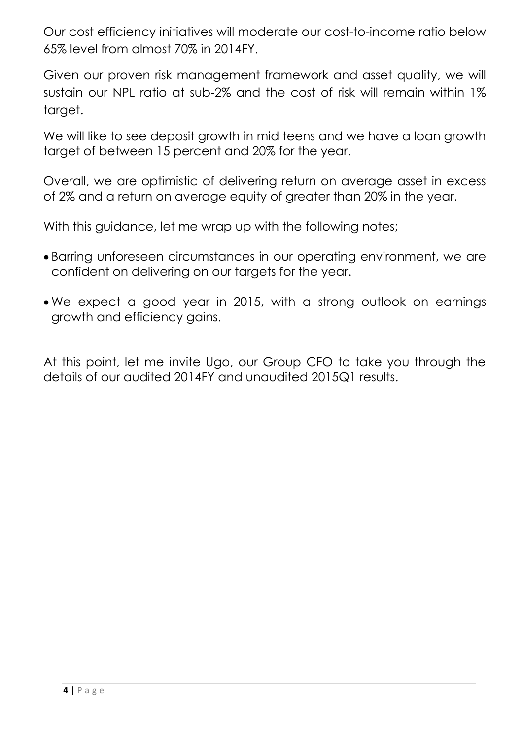Our cost efficiency initiatives will moderate our cost-to-income ratio below 65% level from almost 70% in 2014FY.

Given our proven risk management framework and asset quality, we will sustain our NPL ratio at sub-2% and the cost of risk will remain within 1% target.

We will like to see deposit growth in mid teens and we have a loan growth target of between 15 percent and 20% for the year.

Overall, we are optimistic of delivering return on average asset in excess of 2% and a return on average equity of greater than 20% in the year.

With this guidance, let me wrap up with the following notes;

- Barring unforeseen circumstances in our operating environment, we are confident on delivering on our targets for the year.
- We expect a good year in 2015, with a strong outlook on earnings growth and efficiency gains.

At this point, let me invite Ugo, our Group CFO to take you through the details of our audited 2014FY and unaudited 2015Q1 results.